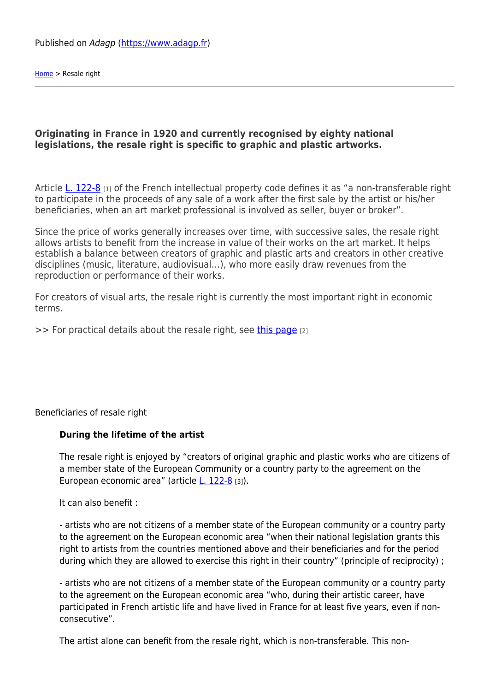[Home](https://www.adagp.fr/en) > Resale right

## **Originating in France in 1920 and currently recognised by eighty national legislations, the resale right is specific to graphic and plastic artworks.**

Article [L. 122-8](http://www.legifrance.gouv.fr/affichCodeArticle.do?idArticle=LEGIARTI000006278925&cidTexte=LEGITEXT000006069414&dateTexte=20130408&oldAction=rechCodeArticle) [1] of the French intellectual property code defines it as "a non-transferable right to participate in the proceeds of any sale of a work after the first sale by the artist or his/her beneficiaries, when an art market professional is involved as seller, buyer or broker".

Since the price of works generally increases over time, with successive sales, the resale right allows artists to benefit from the increase in value of their works on the art market. It helps establish a balance between creators of graphic and plastic arts and creators in other creative disciplines (music, literature, audiovisual…), who more easily draw revenues from the reproduction or performance of their works.

For creators of visual arts, the resale right is currently the most important right in economic terms.

>> For practical details about the resale right, see [this page](http://www.adagp.fr/en/author-right/property-rights/en/utilisateur/droit-de-suite) [2]

Beneficiaries of resale right

## **During the lifetime of the artist**

The resale right is enjoyed by "creators of original graphic and plastic works who are citizens of a member state of the European Community or a country party to the agreement on the European economic area" (article [L. 122-8](http://www.legifrance.gouv.fr/affichCodeArticle.do;jsessionid=F24611653BB9276DD25E08E73E24D831.tpdjo15v_1?idArticle=LEGIARTI000006278925&cidTexte=LEGITEXT000006069414&dateTexte=20130408) [3]).

It can also benefit :

- artists who are not citizens of a member state of the European community or a country party to the agreement on the European economic area "when their national legislation grants this right to artists from the countries mentioned above and their beneficiaries and for the period during which they are allowed to exercise this right in their country" (principle of reciprocity) ;

- artists who are not citizens of a member state of the European community or a country party to the agreement on the European economic area "who, during their artistic career, have participated in French artistic life and have lived in France for at least five years, even if nonconsecutive".

The artist alone can benefit from the resale right, which is non-transferable. This non-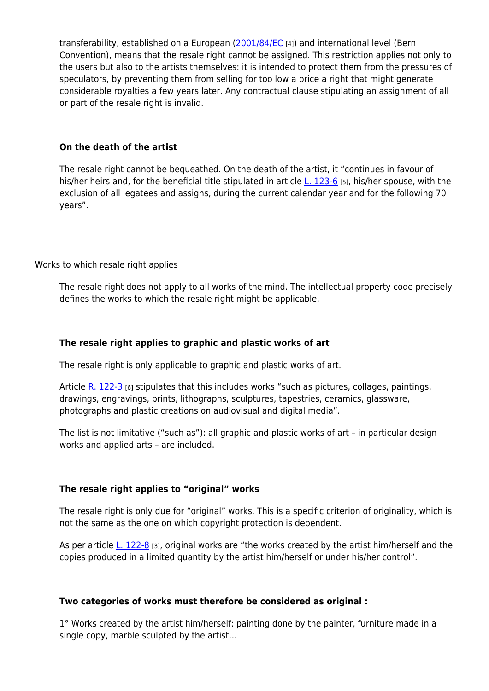transferability, established on a European [\(2001/84/EC](http://eur-lex.europa.eu/LexUriServ/LexUriServ.do?uri=CELEX:32001L0084:FR:HTML) [4]) and international level (Bern Convention), means that the resale right cannot be assigned. This restriction applies not only to the users but also to the artists themselves: it is intended to protect them from the pressures of speculators, by preventing them from selling for too low a price a right that might generate considerable royalties a few years later. Any contractual clause stipulating an assignment of all or part of the resale right is invalid.

## **On the death of the artist**

The resale right cannot be bequeathed. On the death of the artist, it "continues in favour of his/her heirs and, for the beneficial title stipulated in article [L. 123-6](http://www.legifrance.gouv.fr/affichCodeArticle.do;jsessionid=F24611653BB9276DD25E08E73E24D831.tpdjo15v_1?idArticle=LEGIARTI000006278947&cidTexte=LEGITEXT000006069414&dateTexte=20130408) [5], his/her spouse, with the exclusion of all legatees and assigns, during the current calendar year and for the following 70 years".

Works to which resale right applies

The resale right does not apply to all works of the mind. The intellectual property code precisely defines the works to which the resale right might be applicable.

## **The resale right applies to graphic and plastic works of art**

The resale right is only applicable to graphic and plastic works of art.

Article  $R. 122-3$  [6] stipulates that this includes works "such as pictures, collages, paintings, drawings, engravings, prints, lithographs, sculptures, tapestries, ceramics, glassware, photographs and plastic creations on audiovisual and digital media".

The list is not limitative ("such as"): all graphic and plastic works of art – in particular design works and applied arts – are included.

## **The resale right applies to "original" works**

The resale right is only due for "original" works. This is a specific criterion of originality, which is not the same as the one on which copyright protection is dependent.

As per article [L. 122-8](http://www.legifrance.gouv.fr/affichCodeArticle.do;jsessionid=F24611653BB9276DD25E08E73E24D831.tpdjo15v_1?idArticle=LEGIARTI000006278925&cidTexte=LEGITEXT000006069414&dateTexte=20130408) [3], original works are "the works created by the artist him/herself and the copies produced in a limited quantity by the artist him/herself or under his/her control".

## **Two categories of works must therefore be considered as original :**

1° Works created by the artist him/herself: painting done by the painter, furniture made in a single copy, marble sculpted by the artist…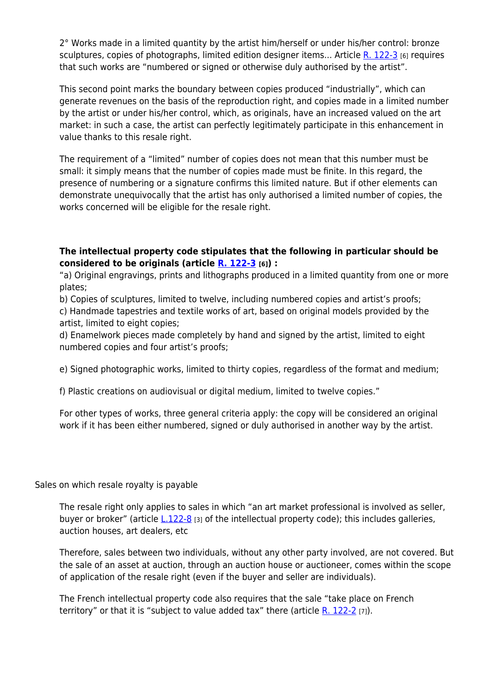2° Works made in a limited quantity by the artist him/herself or under his/her control: bronze sculptures, copies of photographs, limited edition designer items... Article [R. 122-3](http://www.legifrance.gouv.fr/affichCodeArticle.do;jsessionid=3BE522D8AA9A0B042841C7EB33A75583.tpdjo15v_1?idArticle=LEGIARTI000020085905&cidTexte=LEGITEXT000006069414&dateTexte=20130408) [6] requires that such works are "numbered or signed or otherwise duly authorised by the artist".

This second point marks the boundary between copies produced "industrially", which can generate revenues on the basis of the reproduction right, and copies made in a limited number by the artist or under his/her control, which, as originals, have an increased valued on the art market: in such a case, the artist can perfectly legitimately participate in this enhancement in value thanks to this resale right.

The requirement of a "limited" number of copies does not mean that this number must be small: it simply means that the number of copies made must be finite. In this regard, the presence of numbering or a signature confirms this limited nature. But if other elements can demonstrate unequivocally that the artist has only authorised a limited number of copies, the works concerned will be eligible for the resale right.

## **The intellectual property code stipulates that the following in particular should be considered to be originals (article [R. 122-3](http://www.legifrance.gouv.fr/affichCodeArticle.do;jsessionid=3BE522D8AA9A0B042841C7EB33A75583.tpdjo15v_1?idArticle=LEGIARTI000020085905&cidTexte=LEGITEXT000006069414&dateTexte=20130408) [6]) :**

"a) Original engravings, prints and lithographs produced in a limited quantity from one or more plates;

b) Copies of sculptures, limited to twelve, including numbered copies and artist's proofs; c) Handmade tapestries and textile works of art, based on original models provided by the artist, limited to eight copies;

d) Enamelwork pieces made completely by hand and signed by the artist, limited to eight numbered copies and four artist's proofs;

e) Signed photographic works, limited to thirty copies, regardless of the format and medium;

f) Plastic creations on audiovisual or digital medium, limited to twelve copies."

For other types of works, three general criteria apply: the copy will be considered an original work if it has been either numbered, signed or duly authorised in another way by the artist.

## Sales on which resale royalty is payable

The resale right only applies to sales in which "an art market professional is involved as seller, buyer or broker" (article [L.122-8](http://www.legifrance.gouv.fr/affichCodeArticle.do;jsessionid=F24611653BB9276DD25E08E73E24D831.tpdjo15v_1?idArticle=LEGIARTI000006278925&cidTexte=LEGITEXT000006069414&dateTexte=20130408) [3] of the intellectual property code); this includes galleries, auction houses, art dealers, etc

Therefore, sales between two individuals, without any other party involved, are not covered. But the sale of an asset at auction, through an auction house or auctioneer, comes within the scope of application of the resale right (even if the buyer and seller are individuals).

The French intellectual property code also requires that the sale "take place on French territory" or that it is "subject to value added tax" there (article  $R$ . 122-2 [7]).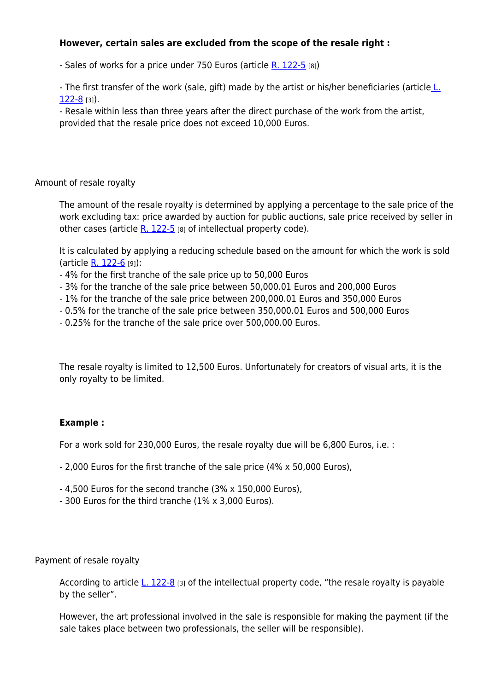## **However, certain sales are excluded from the scope of the resale right :**

- Sales of works for a price under 750 Euros (article [R. 122-5](http://www.legifrance.gouv.fr/affichCodeArticle.do;jsessionid=3BE522D8AA9A0B042841C7EB33A75583.tpdjo15v_1?idArticle=LEGIARTI000020085896&cidTexte=LEGITEXT000006069414&dateTexte=20130408) [8])

- The first transfer of the work (sale, gift) made by the artist or his/her beneficiaries (article [L.](http://www.legifrance.gouv.fr/affichCodeArticle.do;jsessionid=F24611653BB9276DD25E08E73E24D831.tpdjo15v_1?idArticle=LEGIARTI000006278925&cidTexte=LEGITEXT000006069414&dateTexte=20130408) [122-8](http://www.legifrance.gouv.fr/affichCodeArticle.do;jsessionid=F24611653BB9276DD25E08E73E24D831.tpdjo15v_1?idArticle=LEGIARTI000006278925&cidTexte=LEGITEXT000006069414&dateTexte=20130408) [3]).

- Resale within less than three years after the direct purchase of the work from the artist, provided that the resale price does not exceed 10,000 Euros.

Amount of resale royalty

The amount of the resale royalty is determined by applying a percentage to the sale price of the work excluding tax: price awarded by auction for public auctions, sale price received by seller in other cases (article  $R. 122-5$  [8] of intellectual property code).

It is calculated by applying a reducing schedule based on the amount for which the work is sold (article [R. 122-6](http://www.legifrance.gouv.fr/affichCodeArticle.do;jsessionid=3BE522D8AA9A0B042841C7EB33A75583.tpdjo15v_1?idArticle=LEGIARTI000020085891&cidTexte=LEGITEXT000006069414&dateTexte=20130408) [9]):

- 4% for the first tranche of the sale price up to 50,000 Euros
- 3% for the tranche of the sale price between 50,000.01 Euros and 200,000 Euros
- 1% for the tranche of the sale price between 200,000.01 Euros and 350,000 Euros
- 0.5% for the tranche of the sale price between 350,000.01 Euros and 500,000 Euros
- 0.25% for the tranche of the sale price over 500,000.00 Euros.

The resale royalty is limited to 12,500 Euros. Unfortunately for creators of visual arts, it is the only royalty to be limited.

# **Example :**

For a work sold for 230,000 Euros, the resale royalty due will be 6,800 Euros, i.e. :

- 2,000 Euros for the first tranche of the sale price (4% x 50,000 Euros),
- 4,500 Euros for the second tranche (3% x 150,000 Euros),
- 300 Euros for the third tranche (1% x 3,000 Euros).

Payment of resale royalty

According to article  $\underline{\text{L}}$ . 122-8 [3] of the intellectual property code, "the resale royalty is payable by the seller".

However, the art professional involved in the sale is responsible for making the payment (if the sale takes place between two professionals, the seller will be responsible).